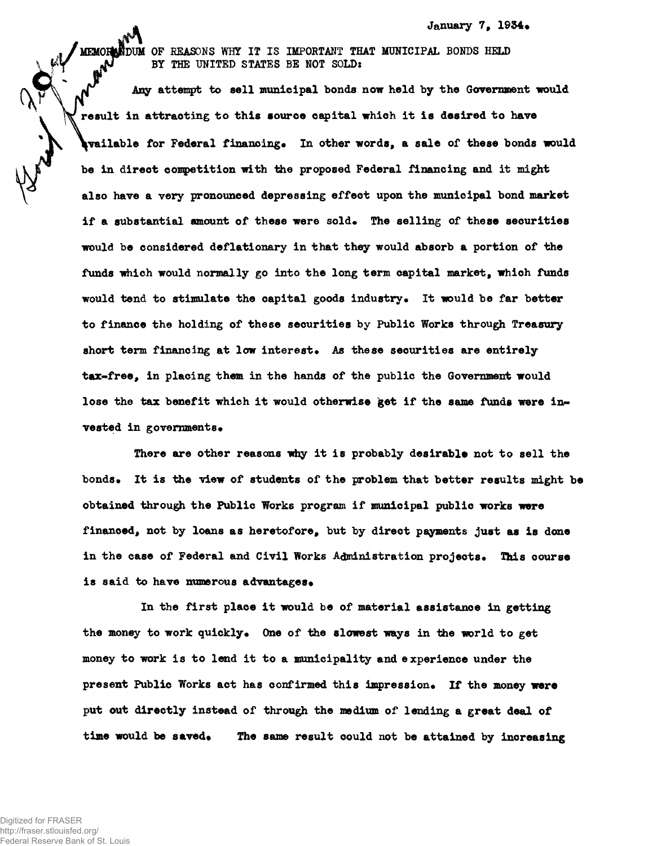January 7, 1934.

MEMORE NOW OF REASONS WHY IT IS IMPORTANT THAT MUNICIPAL BONDS HELD BY THE UNITED STATES BE NOT SOLD:

Any attempt to sell municipal bonds now held by the Government would result in attracting to this source capital which it is desired to have wailable for Federal financing. In other words, a sale of these bonds would be in direct competition with the proposed Federal financing and it might also have a very pronounced depressing effect upon the municipal bond market if a substantial amount of these were sold. The selling of these securities would be considered deflationary in that they would absorb a portion of the funds which would normally go into the long term capital market, which funds would tend to stimulate the capital goods industry. It would be far better to finance the holding of these securities by Public Works through Treasury short term financing at low interest. As these securities are entirely tax-free, in placing them in the hands of the public the Government would lose the tax benefit which it would otherwise get if the same funds were invested in governments.

There are other reasons why it is probably desirable not to sell the bonds. It is the view of students of the problem that better results might be obtained through the Public Works program if municipal public works were financed, not by loans as heretofore, but by direct payments just as is done in the case of Federal and Civil Works Administration projects. This course is said to have numerous advantages.

In the first place it would be of material assistance in getting the money to work quickly. One of the slowest ways in the world to get money to work is to lend it to a municipality and experience under the present Public Works act has confirmed this impression\* If the money **were** put out directly instead of through the medium of lending a great deal of time would be saved. The same result could not be attained by increasing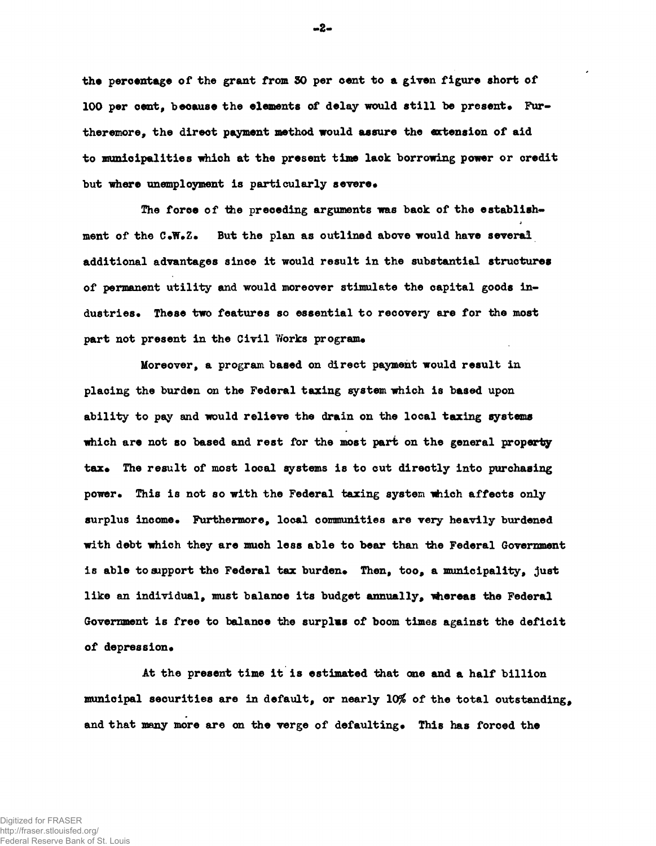**the percentage of the grant from SO per cent to a given figure short of** 100 per cent, because the elements of delay would still be present. Fur**ther emore, the direct payment method would assure the extension of aid to municipalities which at the present time lack borrowing power or credit** but where unemployment is particularly severe.

The force of the preceding arguments was back of the establish**ment of the C«W»Z» But the plan as outlined above would have several additional advantages since it would result in the substantial structures of permanent utility and would moreover stimulate the capital goods industries\* These two features so essential to recovery are for the most** part not present in the Civil Works program.

**Moreover, a program based on direct payment would result in placing the burden on the Federal taxing system which is based upon ability to pay and would relieve the drain on the local taxing systems which are not so based and rest for the most part on the general property** tax. The result of most local systems is to cut directly into purchasing **power. This is not so with the Federal taxing system which affects only** surplus income. Furthermore, local communities are very heavily burdened **with debt which they are much less able to bear than the Federal Government** is able to support the Federal tax burden. Then, too, a municipality, just like an individual, must balance its budget annually, whereas the Federal **Government is free to balance the surplus of boom times against the deficit** of depression.

**At the present time it is estimated that one and a half billion** municipal securities are in default, or nearly 10% of the total outstanding, and that many more are on the verge of defaulting. This has forced the

**-2-**